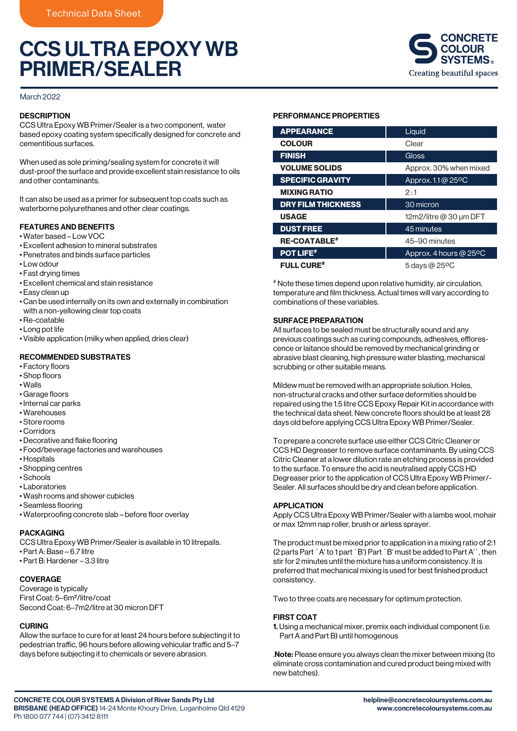# CCS ULTRA EPOXY WB PRIMER/SEALER



March 2022

## **DESCRIPTION**

CCS Ultra Epoxy WB Primer/Sealer is a two component, water based epoxy coating system specifically designed for concrete and cementitious surfaces.

When used as sole priming/sealing system for concrete it will dust-proof the surface and provide excellent stain resistance to oils and other contaminants.

It can also be used as a primer for subsequent top coats such as waterborne polyurethanes and other clear coatings.

## FEATURES AND BENEFITS

- Water based Low VOC
- Excellent adhesion to mineral substrates
- Penetrates and binds surface particles
- Low odour
- Fast drying times
- Excellent chemical and stain resistance
- Easy clean up
- Can be used internally on its own and externally in combination with a non-yellowing clear top coats
- Re-coatable
- Long pot life
- Visible application (milky when applied, dries clear)

# RECOMMENDED SUBSTRATES

- Factory floors
- Shop floors
- Walls
- Garage floors
- Internal car parks
- Warehouses
- Store rooms
- Corridors
- Decorative and flake flooring
- Food/beverage factories and warehouses
- Hospitals
- Shopping centres
- Schools
- Laboratories
- Wash rooms and shower cubicles
- Seamless flooring
- Waterproofing concrete slab before floor overlay

#### PACKAGING

CCS Ultra Epoxy WB Primer/Sealer is available in 10 litrepails. • Part A: Base – 6.7 litre

• Part B: Hardener – 3.3 litre

# COVERAGE

Coverage is typically First Coat: 5–6m²/litre/coat Second Coat: 6–7m2/litre at 30 micron DFT

# CURING

Allow the surface to cure for at least 24 hours before subjecting it to pedestrian traffic, 96 hours before allowing vehicular traffic and 5-7 days before subjecting it to chemicals or severe abrasion.

#### PERFORMANCE PROPERTIES

| <b>APPEARANCE</b>         | Liquid                 |
|---------------------------|------------------------|
| <b>COLOUR</b>             | Clear                  |
| <b>FINISH</b>             | Gloss                  |
| <b>VOLUME SOLIDS</b>      | Approx. 30% when mixed |
| <b>SPECIFIC GRAVITY</b>   | Approx. 1.1 @ 25°C     |
| <b>MIXING RATIO</b>       | 2:1                    |
| <b>DRY FILM THICKNESS</b> | 30 micron              |
| <b>USAGE</b>              | 12m2/litre@30 um DFT   |
| <b>DUST FREE</b>          | 45 minutes             |
| <b>RE-COATABLE#</b>       | 45-90 minutes          |
| <b>POT LIFE#</b>          | Approx. 4 hours @ 25°C |
| <b>FULL CURE#</b>         | 5 days @ 25°C          |

# Note these times depend upon relative humidity, air circulation, temperature and film thickness. Actual times will vary according to combinations of these variables.

## SURFACE PREPARATION

All surfaces to be sealed must be structurally sound and any previous coatings such as curing compounds, adhesives, efflorescence or laitance should be removed by mechanical grinding or abrasive blast cleaning, high pressure water blasting, mechanical scrubbing or other suitable means.

Mildew must be removed with an appropriate solution. Holes, non-structural cracks and other surface deformities should be repaired using the 1.5 litre CCS Epoxy Repair Kit in accordance with the technical data sheet. New concrete floors should be at least 28 days old before applying CCS Ultra Epoxy WB Primer/Sealer.

To prepare a concrete surface use either CCS Citric Cleaner or CCS HD Degreaser to remove surface contaminants. By using CCS Citric Cleaner at a lower dilution rate an etching process is provided to the surface. To ensure the acid is neutralised apply CCS HD Degreaser prior to the application of CCS Ultra Epoxy WB Primer/- Sealer. All surfaces should be dry and clean before application.

#### APPLICATION

Apply CCS Ultra Epoxy WB Primer/Sealer with a lambs wool, mohair or max 12mm nap roller, brush or airless sprayer.

The product must be mixed prior to application in a mixing ratio of 2:1 (2 parts Part `A' to 1 part `B') Part `B' must be added to Part A'`, then stir for 2 minutes until the mixture has a uniform consistency. It is preferred that mechanical mixing is used for best finished product consistency.

Two to three coats are necessary for optimum protection.

#### FIRST COAT

1. Using a mechanical mixer, premix each individual component (i.e. Part A and Part B) until homogenous

.Note: Please ensure you always clean the mixer between mixing (to eliminate cross contamination and cured product being mixed with new batches).